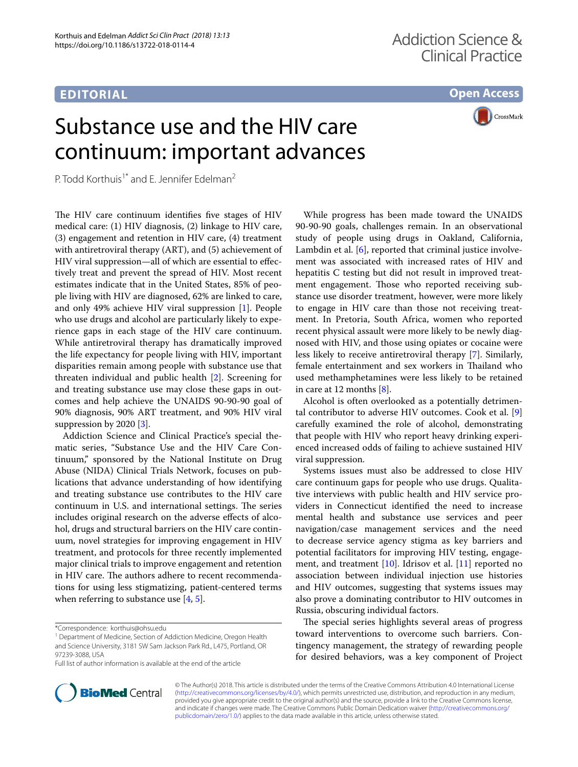# **EDITORIAL**

**Open Access**

**CrossMark** 

# Substance use and the HIV care continuum: important advances

P. Todd Korthuis<sup>1\*</sup> and E. Jennifer Edelman<sup>2</sup>

The HIV care continuum identifies five stages of HIV medical care: (1) HIV diagnosis, (2) linkage to HIV care, (3) engagement and retention in HIV care, (4) treatment with antiretroviral therapy (ART), and (5) achievement of HIV viral suppression—all of which are essential to efectively treat and prevent the spread of HIV. Most recent estimates indicate that in the United States, 85% of people living with HIV are diagnosed, 62% are linked to care, and only 49% achieve HIV viral suppression [\[1](#page-2-0)]. People who use drugs and alcohol are particularly likely to experience gaps in each stage of the HIV care continuum. While antiretroviral therapy has dramatically improved the life expectancy for people living with HIV, important disparities remain among people with substance use that threaten individual and public health [\[2](#page-2-1)]. Screening for and treating substance use may close these gaps in outcomes and help achieve the UNAIDS 90-90-90 goal of 90% diagnosis, 90% ART treatment, and 90% HIV viral suppression by 2020 [[3\]](#page-2-2).

Addiction Science and Clinical Practice's special thematic series, "Substance Use and the HIV Care Continuum," sponsored by the National Institute on Drug Abuse (NIDA) Clinical Trials Network, focuses on publications that advance understanding of how identifying and treating substance use contributes to the HIV care continuum in U.S. and international settings. The series includes original research on the adverse efects of alcohol, drugs and structural barriers on the HIV care continuum, novel strategies for improving engagement in HIV treatment, and protocols for three recently implemented major clinical trials to improve engagement and retention in HIV care. The authors adhere to recent recommendations for using less stigmatizing, patient-centered terms when referring to substance use [[4,](#page-2-3) [5](#page-2-4)].



While progress has been made toward the UNAIDS 90-90-90 goals, challenges remain. In an observational study of people using drugs in Oakland, California,

tal contributor to adverse HIV outcomes. Cook et al. [\[9](#page-2-8)] carefully examined the role of alcohol, demonstrating that people with HIV who report heavy drinking experienced increased odds of failing to achieve sustained HIV viral suppression.

Systems issues must also be addressed to close HIV care continuum gaps for people who use drugs. Qualitative interviews with public health and HIV service providers in Connecticut identifed the need to increase mental health and substance use services and peer navigation/case management services and the need to decrease service agency stigma as key barriers and potential facilitators for improving HIV testing, engagement, and treatment [[10](#page-2-9)]. Idrisov et al. [\[11\]](#page-2-10) reported no association between individual injection use histories and HIV outcomes, suggesting that systems issues may also prove a dominating contributor to HIV outcomes in Russia, obscuring individual factors.

The special series highlights several areas of progress toward interventions to overcome such barriers. Contingency management, the strategy of rewarding people for desired behaviors, was a key component of Project



© The Author(s) 2018. This article is distributed under the terms of the Creative Commons Attribution 4.0 International License [\(http://creativecommons.org/licenses/by/4.0/\)](http://creativecommons.org/licenses/by/4.0/), which permits unrestricted use, distribution, and reproduction in any medium, provided you give appropriate credit to the original author(s) and the source, provide a link to the Creative Commons license, and indicate if changes were made. The Creative Commons Public Domain Dedication waiver ([http://creativecommons.org/](http://creativecommons.org/publicdomain/zero/1.0/) [publicdomain/zero/1.0/](http://creativecommons.org/publicdomain/zero/1.0/)) applies to the data made available in this article, unless otherwise stated.

<sup>\*</sup>Correspondence: korthuis@ohsu.edu

<sup>&</sup>lt;sup>1</sup> Department of Medicine, Section of Addiction Medicine, Oregon Health and Science University, 3181 SW Sam Jackson Park Rd., L475, Portland, OR 97239‑3088, USA

Full list of author information is available at the end of the article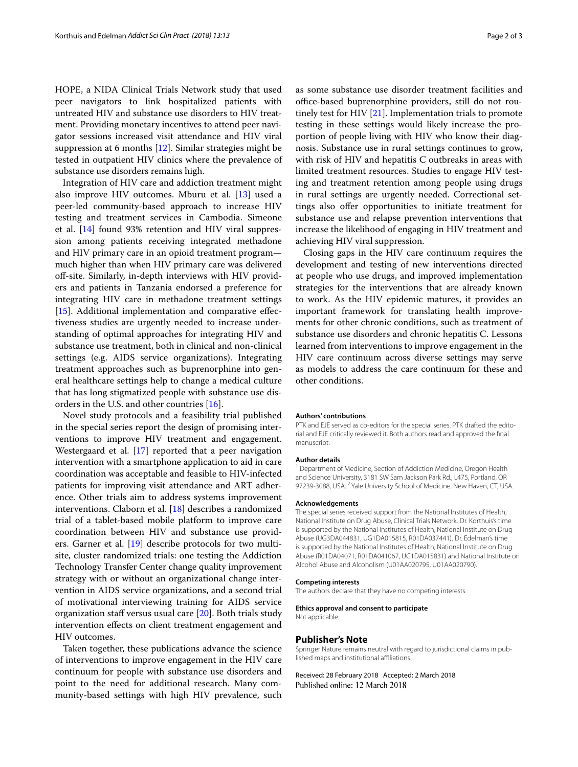HOPE, a NIDA Clinical Trials Network study that used peer navigators to link hospitalized patients with untreated HIV and substance use disorders to HIV treatment. Providing monetary incentives to attend peer navigator sessions increased visit attendance and HIV viral suppression at 6 months [[12\]](#page-2-11). Similar strategies might be tested in outpatient HIV clinics where the prevalence of substance use disorders remains high.

Integration of HIV care and addiction treatment might also improve HIV outcomes. Mburu et al. [\[13](#page-2-12)] used a peer-led community-based approach to increase HIV testing and treatment services in Cambodia. Simeone et al. [[14\]](#page-2-13) found 93% retention and HIV viral suppression among patients receiving integrated methadone and HIV primary care in an opioid treatment program much higher than when HIV primary care was delivered off-site. Similarly, in-depth interviews with HIV providers and patients in Tanzania endorsed a preference for integrating HIV care in methadone treatment settings [[15\]](#page-2-14). Additional implementation and comparative effectiveness studies are urgently needed to increase understanding of optimal approaches for integrating HIV and substance use treatment, both in clinical and non-clinical settings (e.g. AIDS service organizations). Integrating treatment approaches such as buprenorphine into general healthcare settings help to change a medical culture that has long stigmatized people with substance use disorders in the U.S. and other countries [\[16\]](#page-2-15).

Novel study protocols and a feasibility trial published in the special series report the design of promising interventions to improve HIV treatment and engagement. Westergaard et al. [\[17](#page-2-16)] reported that a peer navigation intervention with a smartphone application to aid in care coordination was acceptable and feasible to HIV-infected patients for improving visit attendance and ART adherence. Other trials aim to address systems improvement interventions. Claborn et al. [[18\]](#page-2-17) describes a randomized trial of a tablet-based mobile platform to improve care coordination between HIV and substance use providers. Garner et al. [[19](#page-2-18)] describe protocols for two multisite, cluster randomized trials: one testing the Addiction Technology Transfer Center change quality improvement strategy with or without an organizational change intervention in AIDS service organizations, and a second trial of motivational interviewing training for AIDS service organization staff versus usual care  $[20]$  $[20]$ . Both trials study intervention efects on client treatment engagement and HIV outcomes.

Taken together, these publications advance the science of interventions to improve engagement in the HIV care continuum for people with substance use disorders and point to the need for additional research. Many community-based settings with high HIV prevalence, such as some substance use disorder treatment facilities and office-based buprenorphine providers, still do not routinely test for HIV [\[21](#page-2-20)]. Implementation trials to promote testing in these settings would likely increase the proportion of people living with HIV who know their diagnosis. Substance use in rural settings continues to grow, with risk of HIV and hepatitis C outbreaks in areas with limited treatment resources. Studies to engage HIV testing and treatment retention among people using drugs in rural settings are urgently needed. Correctional settings also ofer opportunities to initiate treatment for substance use and relapse prevention interventions that increase the likelihood of engaging in HIV treatment and achieving HIV viral suppression.

Closing gaps in the HIV care continuum requires the development and testing of new interventions directed at people who use drugs, and improved implementation strategies for the interventions that are already known to work. As the HIV epidemic matures, it provides an important framework for translating health improvements for other chronic conditions, such as treatment of substance use disorders and chronic hepatitis C. Lessons learned from interventions to improve engagement in the HIV care continuum across diverse settings may serve as models to address the care continuum for these and other conditions.

#### **Authors' contributions**

PTK and EJE served as co-editors for the special series. PTK drafted the editorial and EJE critically reviewed it. Both authors read and approved the fnal manuscript.

#### **Author details**

<sup>1</sup> Department of Medicine, Section of Addiction Medicine, Oregon Health and Science University, 3181 SW Sam Jackson Park Rd., L475, Portland, OR 97239-3088, USA. <sup>2</sup> Yale University School of Medicine, New Haven, CT, USA.

#### **Acknowledgements**

The special series received support from the National Institutes of Health, National Institute on Drug Abuse, Clinical Trials Network. Dr. Korthuis's time is supported by the National Institutes of Health, National Institute on Drug Abuse (UG3DA044831, UG1DA015815, R01DA037441). Dr. Edelman's time is supported by the National Institutes of Health, National Institute on Drug Abuse (R01DA04071, R01DA041067, UG1DA015831) and National Institute on Alcohol Abuse and Alcoholism (U01AA020795, U01AA020790).

#### **Competing interests**

The authors declare that they have no competing interests.

## **Ethics approval and consent to participate**

Not applicable.

#### **Publisher's Note**

Springer Nature remains neutral with regard to jurisdictional claims in published maps and institutional afliations.

Received: 28 February 2018 Accepted: 2 March 2018Published online: 12 March 2018